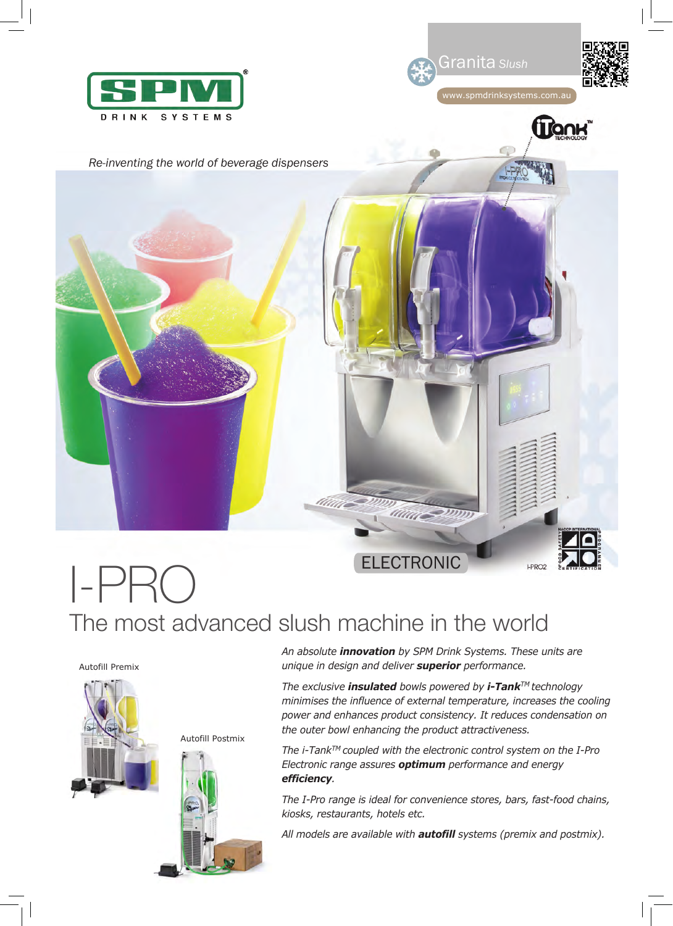



*Re-inventing the world of beverage dispensers*



## **ELECTRONIC** I-PRO2 I-PRO The most advanced slush machine in the world





Autofill Postmix



*An absolute innovation by SPM Drink Systems. These units are unique in design and deliver superior performance.*

*The exclusive insulated bowls powered by i-TankTM technology minimises the influence of external temperature, increases the cooling power and enhances product consistency. It reduces condensation on the outer bowl enhancing the product attractiveness.*

*The i-TankTM coupled with the electronic control system on the I-Pro Electronic range assures optimum performance and energy efficiency.*

*The I-Pro range is ideal for convenience stores, bars, fast-food chains, kiosks, restaurants, hotels etc.*

*All models are available with autofill systems (premix and postmix).*